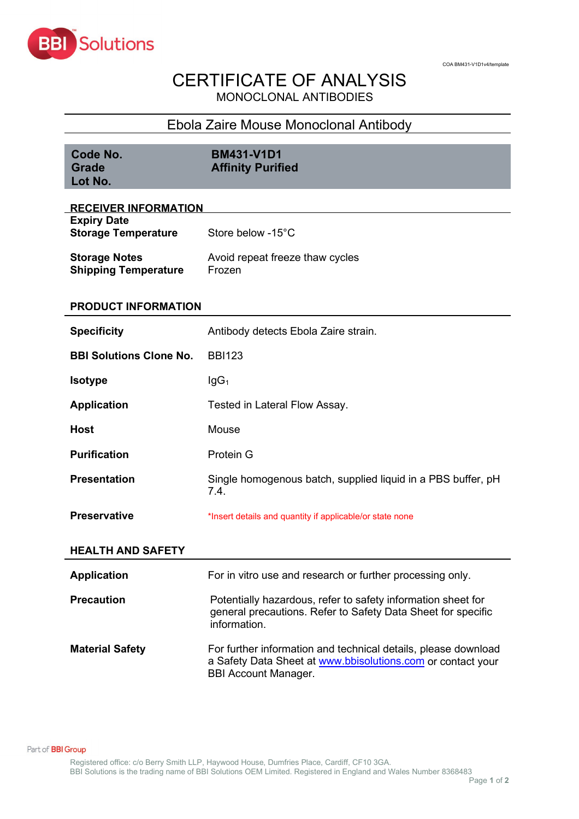

## CERTIFICATE OF ANALYSIS MONOCLONAL ANTIBODIES

## Ebola Zaire Mouse Monoclonal Antibody

| Code No.<br><b>Grade</b><br>Lot No.                 | <b>BM431-V1D1</b><br><b>Affinity Purified</b>                                                                                                                |  |  |  |
|-----------------------------------------------------|--------------------------------------------------------------------------------------------------------------------------------------------------------------|--|--|--|
| <b>RECEIVER INFORMATION</b>                         |                                                                                                                                                              |  |  |  |
| <b>Expiry Date</b><br><b>Storage Temperature</b>    | Store below -15°C                                                                                                                                            |  |  |  |
| <b>Storage Notes</b><br><b>Shipping Temperature</b> | Avoid repeat freeze thaw cycles<br>Frozen                                                                                                                    |  |  |  |
| PRODUCT INFORMATION                                 |                                                                                                                                                              |  |  |  |
| <b>Specificity</b>                                  | Antibody detects Ebola Zaire strain.                                                                                                                         |  |  |  |
| <b>BBI Solutions Clone No.</b>                      | <b>BBI123</b>                                                                                                                                                |  |  |  |
| <b>Isotype</b>                                      | lgG <sub>1</sub>                                                                                                                                             |  |  |  |
| <b>Application</b>                                  | Tested in Lateral Flow Assay.                                                                                                                                |  |  |  |
| <b>Host</b>                                         | Mouse                                                                                                                                                        |  |  |  |
| <b>Purification</b>                                 | Protein G                                                                                                                                                    |  |  |  |
| <b>Presentation</b>                                 | Single homogenous batch, supplied liquid in a PBS buffer, pH<br>7.4.                                                                                         |  |  |  |
| <b>Preservative</b>                                 | *Insert details and quantity if applicable/or state none                                                                                                     |  |  |  |
| <b>HEALTH AND SAFETY</b>                            |                                                                                                                                                              |  |  |  |
| <b>Application</b>                                  | For in vitro use and research or further processing only.                                                                                                    |  |  |  |
| <b>Precaution</b>                                   | Potentially hazardous, refer to safety information sheet for<br>general precautions. Refer to Safety Data Sheet for specific<br>information.                 |  |  |  |
| <b>Material Safety</b>                              | For further information and technical details, please download<br>a Safety Data Sheet at www.bbisolutions.com or contact your<br><b>BBI Account Manager.</b> |  |  |  |